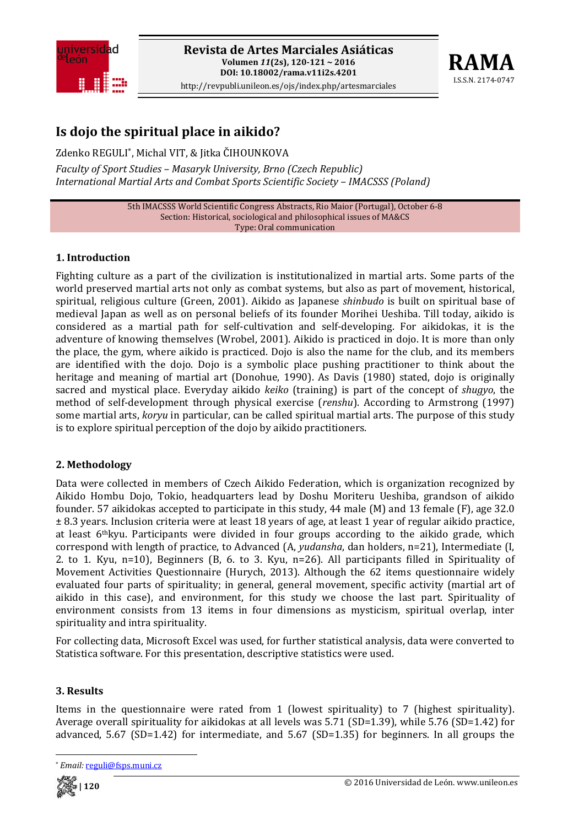



# **Is dojo the spiritual place in aikido?**

Zdenko REGULI\*, Michal VIT, & Jitka ČIHOUNKOVA *Faculty of Sport Studies – Masaryk University, Brno (Czech Republic) International Martial Arts and Combat Sports Scientific Society – IMACSSS (Poland)*

> 5th IMACSSS World Scientific Congress Abstracts, Rio Maior (Portugal), October 6‐8 Section: Historical, sociological and philosophical issues of MA&CS Type: Oral communication

## **1. Introduction**

Fighting culture as a part of the civilization is institutionalized in martial arts. Some parts of the world preserved martial arts not only as combat systems, but also as part of movement, historical, spiritual, religious culture (Green, 2001). Aikido as Japanese *shinbudo* is built on spiritual base of medieval Japan as well as on personal beliefs of its founder Morihei Ueshiba. Till today, aikido is considered as a martial path for self‐cultivation and self‐developing. For aikidokas, it is the adventure of knowing themselves (Wrobel, 2001). Aikido is practiced in dojo. It is more than only the place, the gym, where aikido is practiced. Dojo is also the name for the club, and its members are identified with the dojo. Dojo is a symbolic place pushing practitioner to think about the heritage and meaning of martial art (Donohue, 1990). As Davis (1980) stated, dojo is originally sacred and mystical place. Everyday aikido *keiko* (training) is part of the concept of *shugyo*, the method of self-development through physical exercise (*renshu*). According to Armstrong (1997) some martial arts, *koryu* in particular, can be called spiritual martial arts. The purpose of this study is to explore spiritual perception of the dojo by aikido practitioners.

# **2. Methodology**

Data were collected in members of Czech Aikido Federation, which is organization recognized by Aikido Hombu Dojo, Tokio, headquarters lead by Doshu Moriteru Ueshiba, grandson of aikido founder. 57 aikidokas accepted to participate in this study, 44 male (M) and 13 female (F), age 32.0 ± 8.3 years. Inclusion criteria were at least 18 years of age, at least 1 year of regular aikido practice, at least  $6$ <sup>th</sup>kyu. Participants were divided in four groups according to the aikido grade, which correspond with length of practice, to Advanced (A, *yudansha*, dan holders, n=21), Intermediate (I, 2. to 1. Kyu, n=10), Beginners (B, 6. to 3. Kyu, n=26). All participants filled in Spirituality of Movement Activities Questionnaire (Hurych, 2013). Although the 62 items questionnaire widely evaluated four parts of spirituality; in general, general movement, specific activity (martial art of aikido in this case), and environment, for this study we choose the last part. Spirituality of environment consists from 13 items in four dimensions as mysticism, spiritual overlap, inter spirituality and intra spirituality.

For collecting data, Microsoft Excel was used, for further statistical analysis, data were converted to Statistica software. For this presentation, descriptive statistics were used.

#### **3. Results**

Items in the questionnaire were rated from 1 (lowest spirituality) to 7 (highest spirituality). Average overall spirituality for aikidokas at all levels was 5.71 (SD=1.39), while 5.76 (SD=1.42) for advanced,  $5.67$  (SD=1.42) for intermediate, and  $5.67$  (SD=1.35) for beginners. In all groups the



Email: reguli@fsps.muni.cz